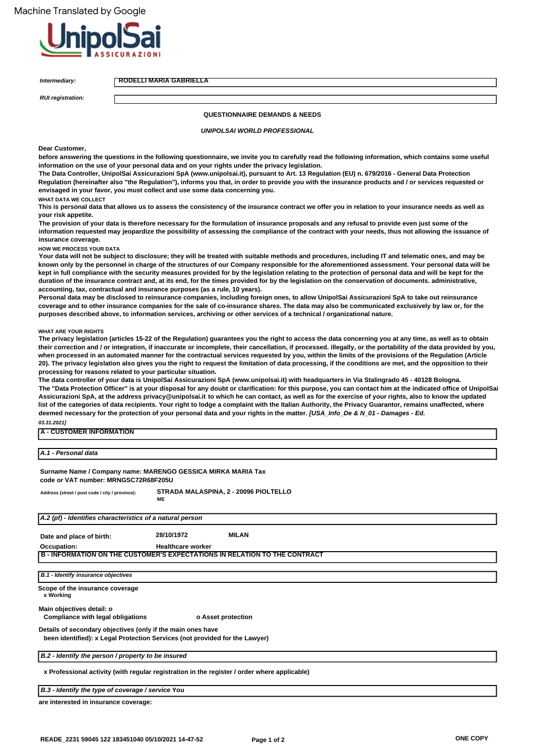

**Intermediary:**

**RODELLI MARIA GABRIELLA**

**RUI registration:**

### **QUESTIONNAIRE DEMANDS & NEEDS**

**UNIPOLSAI WORLD PROFESSIONAL**

#### **Dear Customer,**

**before answering the questions in the following questionnaire, we invite you to carefully read the following information, which contains some useful information on the use of your personal data and on your rights under the privacy legislation.**

**The Data Controller, UnipolSai Assicurazioni SpA (www.unipolsai.it), pursuant to Art. 13 Regulation (EU) n. 679/2016 - General Data Protection Regulation (hereinafter also "the Regulation"), informs you that, in order to provide you with the insurance products and / or services requested or envisaged in your favor, you must collect and use some data concerning you.**

**WHAT DATA WE COLLECT**

**This is personal data that allows us to assess the consistency of the insurance contract we offer you in relation to your insurance needs as well as your risk appetite.**

**The provision of your data is therefore necessary for the formulation of insurance proposals and any refusal to provide even just some of the**  information requested may jeopardize the possibility of assessing the compliance of the contract with your needs, thus not allowing the issuance of **insurance coverage.**

**HOW WE PROCESS YOUR DATA**

**Your data will not be subject to disclosure; they will be treated with suitable methods and procedures, including IT and telematic ones, and may be known only by the personnel in charge of the structures of our Company responsible for the aforementioned assessment. Your personal data will be kept in full compliance with the security measures provided for by the legislation relating to the protection of personal data and will be kept for the duration of the insurance contract and, at its end, for the times provided for by the legislation on the conservation of documents. administrative, accounting, tax, contractual and insurance purposes (as a rule, 10 years).**

**Personal data may be disclosed to reinsurance companies, including foreign ones, to allow UnipolSai Assicurazioni SpA to take out reinsurance coverage and to other insurance companies for the sale of co-insurance shares. The data may also be communicated exclusively by law or, for the purposes described above, to information services, archiving or other services of a technical / organizational nature.**

#### **WHAT ARE YOUR RIGHTS**

**The privacy legislation (articles 15-22 of the Regulation) guarantees you the right to access the data concerning you at any time, as well as to obtain their correction and / or integration, if inaccurate or incomplete, their cancellation, if processed. illegally, or the portability of the data provided by you, when processed in an automated manner for the contractual services requested by you, within the limits of the provisions of the Regulation (Article 20). The privacy legislation also gives you the right to request the limitation of data processing, if the conditions are met, and the opposition to their processing for reasons related to your particular situation.**

**03.31.2021] The data controller of your data is UnipolSai Assicurazioni SpA (www.unipolsai.it) with headquarters in Via Stalingrado 45 - 40128 Bologna. The "Data Protection Officer" is at your disposal for any doubt or clarification: for this purpose, you can contact him at the indicated office of UnipolSai Assicurazioni SpA, at the address privacy@unipolsai.it to which he can contact, as well as for the exercise of your rights, also to know the updated list of the categories of data recipients. Your right to lodge a complaint with the Italian Authority, the Privacy Guarantor, remains unaffected, where**  deemed necessary for the protection of your personal data and your rights in the matter. *[USA\_Info\_De & N\_01 - Damages - Ed.* 

#### **A - CUSTOMER INFORMATION**

**A.1 - Personal data**

**Surname Name / Company name: MARENGO GESSICA MIRKA MARIA Tax** 

**code or VAT number: MRNGSC72R68F205U**

**ME Address (street / post code / city / province): STRADA MALASPINA, 2 - 20096 PIOLTELLO**

| A.2 (pf) - Identifies characteristics of a natural person                                                                                  |                          |                    |  |  |
|--------------------------------------------------------------------------------------------------------------------------------------------|--------------------------|--------------------|--|--|
|                                                                                                                                            |                          |                    |  |  |
| Date and place of birth:                                                                                                                   | 28/10/1972               | <b>MILAN</b>       |  |  |
| Occupation:                                                                                                                                | <b>Healthcare worker</b> |                    |  |  |
| <b>B - INFORMATION ON THE CUSTOMER'S EXPECTATIONS IN RELATION TO THE CONTRACT</b>                                                          |                          |                    |  |  |
|                                                                                                                                            |                          |                    |  |  |
| B.1 - Identify insurance objectives                                                                                                        |                          |                    |  |  |
| Scope of the insurance coverage<br>x Working                                                                                               |                          |                    |  |  |
| Main objectives detail: o                                                                                                                  |                          |                    |  |  |
| Compliance with legal obligations                                                                                                          |                          | o Asset protection |  |  |
| Details of secondary objectives (only if the main ones have<br>been identified): x Legal Protection Services (not provided for the Lawyer) |                          |                    |  |  |
| B.2 - Identify the person / property to be insured                                                                                         |                          |                    |  |  |
| x Professional activity (with regular registration in the register / order where applicable)                                               |                          |                    |  |  |

**B.3 - Identify the type of coverage / service You** 

**are interested in insurance coverage:**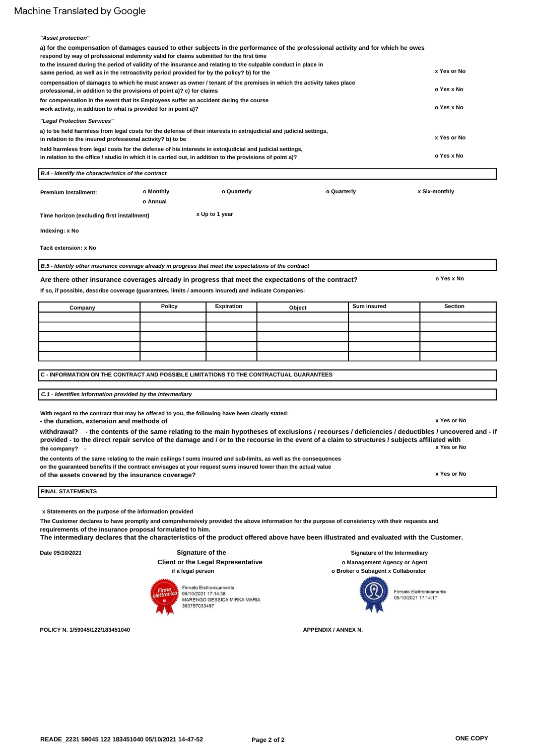| "Asset protection"<br>a) for the compensation of damages caused to other subjects in the performance of the professional activity and for which he owes<br>respond by way of professional indemnity valid for claims submitted for the first time |                       |                |             |             |                |
|---------------------------------------------------------------------------------------------------------------------------------------------------------------------------------------------------------------------------------------------------|-----------------------|----------------|-------------|-------------|----------------|
| to the insured during the period of validity of the insurance and relating to the culpable conduct in place in<br>same period, as well as in the retroactivity period provided for by the policy? b) for the                                      |                       |                |             |             | x Yes or No    |
| compensation of damages to which he must answer as owner / tenant of the premises in which the activity takes place<br>professional, in addition to the provisions of point a)? c) for claims                                                     |                       |                |             |             | o Yes x No     |
| for compensation in the event that its Employees suffer an accident during the course<br>work activity, in addition to what is provided for in point a)?                                                                                          |                       |                |             |             | o Yes x No     |
| "Legal Protection Services"                                                                                                                                                                                                                       |                       |                |             |             |                |
| a) to be held harmless from legal costs for the defense of their interests in extrajudicial and judicial settings,<br>in relation to the insured professional activity? b) to be                                                                  |                       |                |             |             | x Yes or No    |
| held harmless from legal costs for the defense of his interests in extrajudicial and judicial settings,<br>in relation to the office / studio in which it is carried out, in addition to the provisions of point a)?                              |                       |                |             |             | o Yes x No     |
| B.4 - Identify the characteristics of the contract                                                                                                                                                                                                |                       |                |             |             |                |
| Premium installment:                                                                                                                                                                                                                              | o Monthly<br>o Annual | o Quarterly    | o Quarterly |             | x Six-monthly  |
| Time horizon (excluding first installment)                                                                                                                                                                                                        |                       | x Up to 1 year |             |             |                |
| Indexing: x No                                                                                                                                                                                                                                    |                       |                |             |             |                |
| Tacit extension: x No                                                                                                                                                                                                                             |                       |                |             |             |                |
| B.5 - Identify other insurance coverage already in progress that meet the expectations of the contract                                                                                                                                            |                       |                |             |             |                |
| Are there other insurance coverages already in progress that meet the expectations of the contract?                                                                                                                                               |                       |                |             |             | o Yes x No     |
| If so, if possible, describe coverage (guarantees, limits / amounts insured) and indicate Companies:                                                                                                                                              |                       |                |             |             |                |
| Company                                                                                                                                                                                                                                           | Policy                | Expiration     | Object      | Sum insured | <b>Section</b> |
|                                                                                                                                                                                                                                                   |                       |                |             |             |                |
|                                                                                                                                                                                                                                                   |                       |                |             |             |                |
|                                                                                                                                                                                                                                                   |                       |                |             |             |                |
|                                                                                                                                                                                                                                                   |                       |                |             |             |                |
|                                                                                                                                                                                                                                                   |                       |                |             |             |                |
| C - INFORMATION ON THE CONTRACT AND POSSIBLE LIMITATIONS TO THE CONTRACTUAL GUARANTEES                                                                                                                                                            |                       |                |             |             |                |
| C.1 - Identifies information provided by the intermediary                                                                                                                                                                                         |                       |                |             |             |                |
| With regard to the contract that may be offered to you, the following have been clearly stated:<br>- the duration, extension and methods of                                                                                                       |                       |                |             |             | x Yes or No    |

the company? . **x Yes or No withdrawal? 1 - the contents of the same relating to the main hypotheses of exclusions / recourses / deficiencies / deductibles / uncovered and - if provided - to the direct repair service of the damage and / or to the recourse in the event of a claim to structures / subjects affiliated with**

**the contents of the same relating to the main ceilings / sums insured and sub-limits, as well as the consequences on the guaranteed benefits if the contract envisages at your request sums insured lower than the actual value**

**of the assets covered by the insurance coverage? 1**

**x Yes or No**

### **FINAL STATEMENTS**

**x Statements on the purpose of the information provided**

**The Customer declares to have promptly and comprehensively provided the above information for the purpose of consistency with their requests and requirements of the insurance proposal formulated to him.**

**The intermediary declares that the characteristics of the product offered above have been illustrated and evaluated with the Customer.**

**Date 05/10/2021**

### **Signature of the Client or the Legal Representative if a legal person**

**\$\$ sign # 15.60 # = READE\_2231.Customer Signature\_0 \$**

393757033497

Firmato Elettronicamente

05/10/2021 17:14:38<br>MARENGO GESSICA MIRKA MARIA

**Signature of the Intermediary o Management Agency or Agent o Broker o Subagent x Collaborator**



**\$\$ sign # 15,60 # = READE\_2231.FirmaIntermediario\_0 \$**

**POLICY N. 1/59045/122/183451040**

**APPENDIX / ANNEX N.**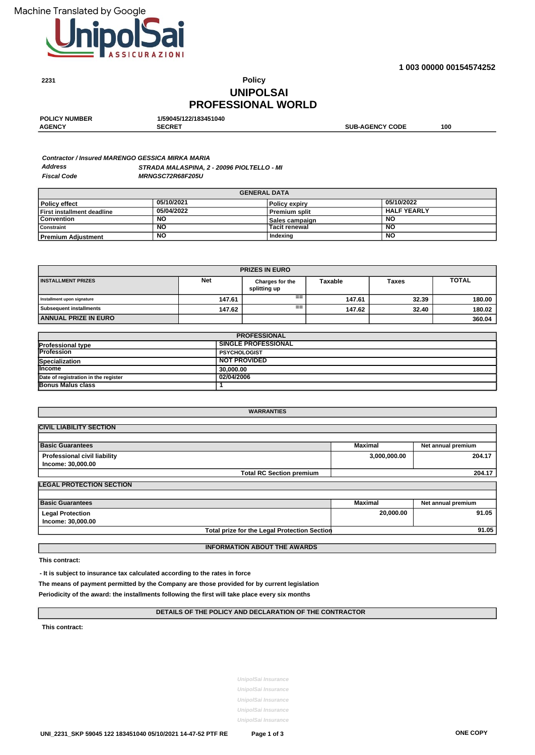**2231**



**1 003 00000 00154574252**

# **PROFESSIONAL WORLD UNIPOLSAI Policy**

| <b>SECRET</b><br><b>SUB-AGENCY CODE</b> | <b>POLICY NUMBER</b> | 1/59045/122/183451040 |     |
|-----------------------------------------|----------------------|-----------------------|-----|
|                                         | <b>AGENCY</b>        |                       | 100 |

#### **STRADA MALASPINA, 2 - 20096 PIOLTELLO - MI MRNGSC72R68F205U Fiscal Code Contractor / Insured MARENGO GESSICA MIRKA MARIA Address**

| <b>GENERAL DATA</b>        |            |                      |                    |  |
|----------------------------|------------|----------------------|--------------------|--|
| Policy effect              | 05/10/2021 | <b>Policy expiry</b> | 05/10/2022         |  |
| First installment deadline | 05/04/2022 | <b>Premium split</b> | <b>HALF YEARLY</b> |  |
| Convention                 | NO         | Sales campaign       | <b>NC</b>          |  |
| Constraint                 | NO         | <b>Tacit renewal</b> | <b>NO</b>          |  |
| I Premium Adiustment       | <b>NO</b>  | Indexing             | NO                 |  |

| <b>PRIZES IN EURO</b>       |            |                                                                                   |        |       |        |  |
|-----------------------------|------------|-----------------------------------------------------------------------------------|--------|-------|--------|--|
| <b>INSTALLMENT PRIZES</b>   | <b>Net</b> | <b>TOTAL</b><br><b>Taxable</b><br><b>Taxes</b><br>Charges for the<br>splitting up |        |       |        |  |
| Installment upon signature  | 147.61     | $==$                                                                              | 147.61 | 32.39 | 180.00 |  |
| Subsequent installments     | 147.62     | $==$                                                                              | 147.62 | 32.40 | 180.02 |  |
| <b>ANNUAL PRIZE IN EURO</b> |            |                                                                                   |        |       | 360.04 |  |

| <b>PROFESSIONAL</b>                  |                            |  |
|--------------------------------------|----------------------------|--|
| <b>Professional type</b>             | <b>SINGLE PROFESSIONAL</b> |  |
| <b>IProfession</b>                   | <b>PSYCHOLOGIST</b>        |  |
| Specialization                       | <b>NOT PROVIDED</b>        |  |
| <b>Income</b>                        | 30,000,00                  |  |
| Date of registration in the register | 02/04/2006                 |  |
| Bonus Malus class                    |                            |  |

| <b>WARRANTIES</b>                                   |              |                    |
|-----------------------------------------------------|--------------|--------------------|
| <b>CIVIL LIABILITY SECTION</b>                      |              |                    |
|                                                     |              |                    |
| <b>Basic Guarantees</b>                             | Maximal      | Net annual premium |
| Professional civil liability                        | 3,000,000.00 | 204.17             |
| Income: 30,000.00                                   |              |                    |
| <b>Total RC Section premium</b>                     |              | 204.17             |
| <b>LEGAL PROTECTION SECTION</b>                     |              |                    |
|                                                     |              |                    |
| <b>Basic Guarantees</b>                             | Maximal      | Net annual premium |
| <b>Legal Protection</b>                             | 20,000.00    | 91.05              |
| Income: 30,000.00                                   |              |                    |
| <b>Total prize for the Legal Protection Section</b> |              | 91.05              |
|                                                     |              |                    |
| <b>INFORMATION ABOUT THE AWARDS</b>                 |              |                    |

**This contract:**

**- It is subject to insurance tax calculated according to the rates in force**

**The means of payment permitted by the Company are those provided for by current legislation**

**Periodicity of the award: the installments following the first will take place every six months**

### **DETAILS OF THE POLICY AND DECLARATION OF THE CONTRACTOR**

**This contract:**

**UnipolSai Insurance UnipolSai Insurance UnipolSai Insurance UnipolSai Insurance**

**UnipolSai Insurance**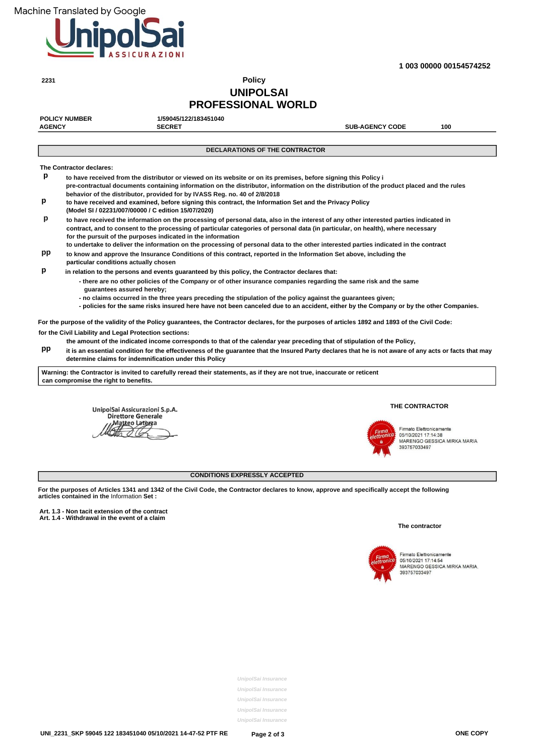**2231**



**1 003 00000 00154574252**

# **UNIPOLSAI PROFESSIONAL WORLD Policy**

| 1/59045/122/183451040                                        |                        |                                                                                                                                                                                                                                                                                                                                                                                                                                                                                                                                                                                                                                                                                                                                                                                                                                                                                                                                                                                                                                                                                                                                                                                                                                                                                                                                                                                                                                                                                                                                                                                                                                                                                                                                                                                                                                                                                                                                                                                                                                                                                                    |
|--------------------------------------------------------------|------------------------|----------------------------------------------------------------------------------------------------------------------------------------------------------------------------------------------------------------------------------------------------------------------------------------------------------------------------------------------------------------------------------------------------------------------------------------------------------------------------------------------------------------------------------------------------------------------------------------------------------------------------------------------------------------------------------------------------------------------------------------------------------------------------------------------------------------------------------------------------------------------------------------------------------------------------------------------------------------------------------------------------------------------------------------------------------------------------------------------------------------------------------------------------------------------------------------------------------------------------------------------------------------------------------------------------------------------------------------------------------------------------------------------------------------------------------------------------------------------------------------------------------------------------------------------------------------------------------------------------------------------------------------------------------------------------------------------------------------------------------------------------------------------------------------------------------------------------------------------------------------------------------------------------------------------------------------------------------------------------------------------------------------------------------------------------------------------------------------------------|
| <b>AGENCY</b><br><b>SECRET</b>                               | <b>SUB-AGENCY CODE</b> | 100                                                                                                                                                                                                                                                                                                                                                                                                                                                                                                                                                                                                                                                                                                                                                                                                                                                                                                                                                                                                                                                                                                                                                                                                                                                                                                                                                                                                                                                                                                                                                                                                                                                                                                                                                                                                                                                                                                                                                                                                                                                                                                |
|                                                              |                        |                                                                                                                                                                                                                                                                                                                                                                                                                                                                                                                                                                                                                                                                                                                                                                                                                                                                                                                                                                                                                                                                                                                                                                                                                                                                                                                                                                                                                                                                                                                                                                                                                                                                                                                                                                                                                                                                                                                                                                                                                                                                                                    |
|                                                              |                        |                                                                                                                                                                                                                                                                                                                                                                                                                                                                                                                                                                                                                                                                                                                                                                                                                                                                                                                                                                                                                                                                                                                                                                                                                                                                                                                                                                                                                                                                                                                                                                                                                                                                                                                                                                                                                                                                                                                                                                                                                                                                                                    |
| The Contractor declares:                                     |                        |                                                                                                                                                                                                                                                                                                                                                                                                                                                                                                                                                                                                                                                                                                                                                                                                                                                                                                                                                                                                                                                                                                                                                                                                                                                                                                                                                                                                                                                                                                                                                                                                                                                                                                                                                                                                                                                                                                                                                                                                                                                                                                    |
|                                                              |                        |                                                                                                                                                                                                                                                                                                                                                                                                                                                                                                                                                                                                                                                                                                                                                                                                                                                                                                                                                                                                                                                                                                                                                                                                                                                                                                                                                                                                                                                                                                                                                                                                                                                                                                                                                                                                                                                                                                                                                                                                                                                                                                    |
| (Model SI / 02231/007/00000 / C edition 15/07/2020)          |                        |                                                                                                                                                                                                                                                                                                                                                                                                                                                                                                                                                                                                                                                                                                                                                                                                                                                                                                                                                                                                                                                                                                                                                                                                                                                                                                                                                                                                                                                                                                                                                                                                                                                                                                                                                                                                                                                                                                                                                                                                                                                                                                    |
| for the pursuit of the purposes indicated in the information |                        |                                                                                                                                                                                                                                                                                                                                                                                                                                                                                                                                                                                                                                                                                                                                                                                                                                                                                                                                                                                                                                                                                                                                                                                                                                                                                                                                                                                                                                                                                                                                                                                                                                                                                                                                                                                                                                                                                                                                                                                                                                                                                                    |
| particular conditions actually chosen                        |                        |                                                                                                                                                                                                                                                                                                                                                                                                                                                                                                                                                                                                                                                                                                                                                                                                                                                                                                                                                                                                                                                                                                                                                                                                                                                                                                                                                                                                                                                                                                                                                                                                                                                                                                                                                                                                                                                                                                                                                                                                                                                                                                    |
|                                                              |                        |                                                                                                                                                                                                                                                                                                                                                                                                                                                                                                                                                                                                                                                                                                                                                                                                                                                                                                                                                                                                                                                                                                                                                                                                                                                                                                                                                                                                                                                                                                                                                                                                                                                                                                                                                                                                                                                                                                                                                                                                                                                                                                    |
| quarantees assured hereby;                                   |                        |                                                                                                                                                                                                                                                                                                                                                                                                                                                                                                                                                                                                                                                                                                                                                                                                                                                                                                                                                                                                                                                                                                                                                                                                                                                                                                                                                                                                                                                                                                                                                                                                                                                                                                                                                                                                                                                                                                                                                                                                                                                                                                    |
|                                                              |                        |                                                                                                                                                                                                                                                                                                                                                                                                                                                                                                                                                                                                                                                                                                                                                                                                                                                                                                                                                                                                                                                                                                                                                                                                                                                                                                                                                                                                                                                                                                                                                                                                                                                                                                                                                                                                                                                                                                                                                                                                                                                                                                    |
|                                                              |                        |                                                                                                                                                                                                                                                                                                                                                                                                                                                                                                                                                                                                                                                                                                                                                                                                                                                                                                                                                                                                                                                                                                                                                                                                                                                                                                                                                                                                                                                                                                                                                                                                                                                                                                                                                                                                                                                                                                                                                                                                                                                                                                    |
| for the Civil Liability and Legal Protection sections:       |                        |                                                                                                                                                                                                                                                                                                                                                                                                                                                                                                                                                                                                                                                                                                                                                                                                                                                                                                                                                                                                                                                                                                                                                                                                                                                                                                                                                                                                                                                                                                                                                                                                                                                                                                                                                                                                                                                                                                                                                                                                                                                                                                    |
| determine claims for indemnification under this Policy       |                        |                                                                                                                                                                                                                                                                                                                                                                                                                                                                                                                                                                                                                                                                                                                                                                                                                                                                                                                                                                                                                                                                                                                                                                                                                                                                                                                                                                                                                                                                                                                                                                                                                                                                                                                                                                                                                                                                                                                                                                                                                                                                                                    |
| can compromise the right to benefits.                        |                        |                                                                                                                                                                                                                                                                                                                                                                                                                                                                                                                                                                                                                                                                                                                                                                                                                                                                                                                                                                                                                                                                                                                                                                                                                                                                                                                                                                                                                                                                                                                                                                                                                                                                                                                                                                                                                                                                                                                                                                                                                                                                                                    |
|                                                              |                        | <b>DECLARATIONS OF THE CONTRACTOR</b><br>to have received from the distributor or viewed on its website or on its premises, before signing this Policy i<br>pre-contractual documents containing information on the distributor, information on the distribution of the product placed and the rules<br>behavior of the distributor, provided for by IVASS Reg. no. 40 of 2/8/2018<br>to have received and examined, before signing this contract, the Information Set and the Privacy Policy<br>to have received the information on the processing of personal data, also in the interest of any other interested parties indicated in<br>contract, and to consent to the processing of particular categories of personal data (in particular, on health), where necessary<br>to undertake to deliver the information on the processing of personal data to the other interested parties indicated in the contract<br>to know and approve the Insurance Conditions of this contract, reported in the Information Set above, including the<br>in relation to the persons and events guaranteed by this policy, the Contractor declares that:<br>- there are no other policies of the Company or of other insurance companies regarding the same risk and the same<br>- no claims occurred in the three years preceding the stipulation of the policy against the guarantees given;<br>- policies for the same risks insured here have not been canceled due to an accident, either by the Company or by the other Companies.<br>For the purpose of the validity of the Policy guarantees, the Contractor declares, for the purposes of articles 1892 and 1893 of the Civil Code:<br>the amount of the indicated income corresponds to that of the calendar year preceding that of stipulation of the Policy,<br>it is an essential condition for the effectiveness of the quarantee that the Insured Party declares that he is not aware of any acts or facts that may<br>Warning: the Contractor is invited to carefully reread their statements, as if they are not true, inaccurate or reticent |

UnipolSai Assicurazioni S.p.A.<br>Direttore Generale Matteo Laterza

### **THE CONTRACTOR**



Firmato Elettronicamente 15/10/2021<br>17:14:38<br>MARENGO GESSICA MIRKA MARIA<br>393757033497

## **CONDITIONS EXPRESSLY ACCEPTED**

**For the purposes of Articles 1341 and 1342 of the Civil Code, the Contractor declares to know, approve and specifically accept the following articles contained in the** Information **Set :**

Art. 1.3 - Non tacit extension of the contract<br>Art. 1.4 - Withdrawal in the event of a claim

### **The contractor**



Firmato Elettronicamente<br>05/10/2021 17:14:54<br>MARENGO GESSICA MIRKA MARIA,<br>393757033497

**UnipolSai Insurance UnipolSai Insurance UnipolSai Insurance UnipolSai Insurance UnipolSai Insurance**